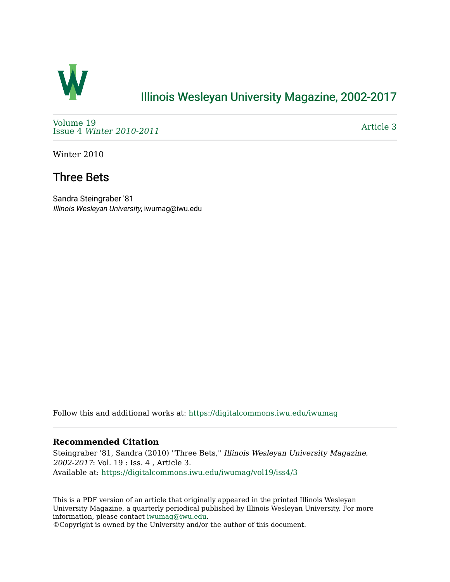

## [Illinois Wesleyan University Magazine, 2002-2017](https://digitalcommons.iwu.edu/iwumag)

[Volume 19](https://digitalcommons.iwu.edu/iwumag/vol19)  Issue 4 [Winter 2010-2011](https://digitalcommons.iwu.edu/iwumag/vol19/iss4)

[Article 3](https://digitalcommons.iwu.edu/iwumag/vol19/iss4/3) 

Winter 2010

## Three Bets

Sandra Steingraber '81 Illinois Wesleyan University, iwumag@iwu.edu

Follow this and additional works at: [https://digitalcommons.iwu.edu/iwumag](https://digitalcommons.iwu.edu/iwumag?utm_source=digitalcommons.iwu.edu%2Fiwumag%2Fvol19%2Fiss4%2F3&utm_medium=PDF&utm_campaign=PDFCoverPages) 

#### **Recommended Citation**

Steingraber '81, Sandra (2010) "Three Bets," Illinois Wesleyan University Magazine, 2002-2017: Vol. 19 : Iss. 4 , Article 3. Available at: [https://digitalcommons.iwu.edu/iwumag/vol19/iss4/3](https://digitalcommons.iwu.edu/iwumag/vol19/iss4/3?utm_source=digitalcommons.iwu.edu%2Fiwumag%2Fvol19%2Fiss4%2F3&utm_medium=PDF&utm_campaign=PDFCoverPages)

This is a PDF version of an article that originally appeared in the printed Illinois Wesleyan University Magazine, a quarterly periodical published by Illinois Wesleyan University. For more information, please contact [iwumag@iwu.edu](mailto:iwumag@iwu.edu).

©Copyright is owned by the University and/or the author of this document.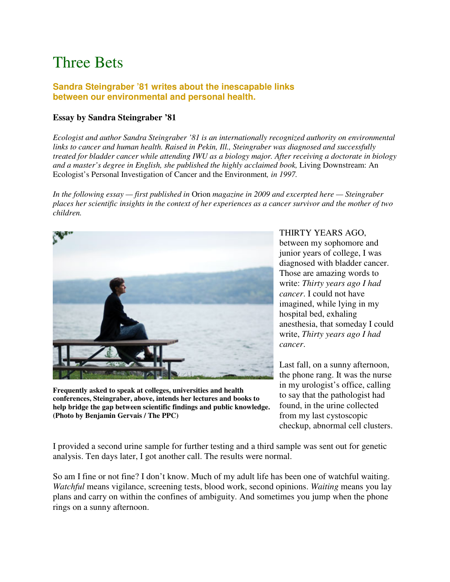# Three Bets

### **Sandra Steingraber '81 writes about the inescapable links between our environmental and personal health.**

### **Essay by Sandra Steingraber '81**

*Ecologist and author Sandra Steingraber '81 is an internationally recognized authority on environmental links to cancer and human health. Raised in Pekin, Ill., Steingraber was diagnosed and successfully treated for bladder cancer while attending IWU as a biology major. After receiving a doctorate in biology and a master's degree in English, she published the highly acclaimed book,* Living Downstream: An Ecologist's Personal Investigation of Cancer and the Environment*, in 1997.*

*In the following essay — first published in* Orion *magazine in 2009 and excerpted here — Steingraber places her scientific insights in the context of her experiences as a cancer survivor and the mother of two children.*



**Frequently asked to speak at colleges, universities and health conferences, Steingraber, above, intends her lectures and books to help bridge the gap between scientific findings and public knowledge. (Photo by Benjamin Gervais / The PPC)**

THIRTY YEARS AGO, between my sophomore and junior years of college, I was diagnosed with bladder cancer. Those are amazing words to write: *Thirty years ago I had cancer*. I could not have imagined, while lying in my hospital bed, exhaling anesthesia, that someday I could write, *Thirty years ago I had cancer*.

Last fall, on a sunny afternoon, the phone rang. It was the nurse in my urologist's office, calling to say that the pathologist had found, in the urine collected from my last cystoscopic checkup, abnormal cell clusters.

I provided a second urine sample for further testing and a third sample was sent out for genetic analysis. Ten days later, I got another call. The results were normal.

So am I fine or not fine? I don't know. Much of my adult life has been one of watchful waiting. *Watchful* means vigilance, screening tests, blood work, second opinions. *Waiting* means you lay plans and carry on within the confines of ambiguity. And sometimes you jump when the phone rings on a sunny afternoon.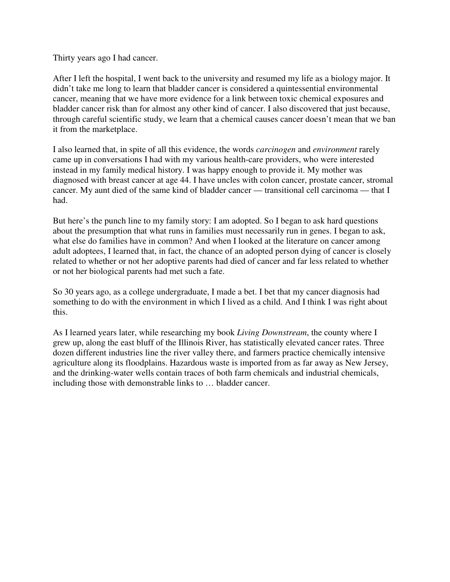Thirty years ago I had cancer.

After I left the hospital, I went back to the university and resumed my life as a biology major. It didn't take me long to learn that bladder cancer is considered a quintessential environmental cancer, meaning that we have more evidence for a link between toxic chemical exposures and bladder cancer risk than for almost any other kind of cancer. I also discovered that just because, through careful scientific study, we learn that a chemical causes cancer doesn't mean that we ban it from the marketplace.

I also learned that, in spite of all this evidence, the words *carcinogen* and *environment* rarely came up in conversations I had with my various health-care providers, who were interested instead in my family medical history. I was happy enough to provide it. My mother was diagnosed with breast cancer at age 44. I have uncles with colon cancer, prostate cancer, stromal cancer. My aunt died of the same kind of bladder cancer — transitional cell carcinoma — that I had.

But here's the punch line to my family story: I am adopted. So I began to ask hard questions about the presumption that what runs in families must necessarily run in genes. I began to ask, what else do families have in common? And when I looked at the literature on cancer among adult adoptees, I learned that, in fact, the chance of an adopted person dying of cancer is closely related to whether or not her adoptive parents had died of cancer and far less related to whether or not her biological parents had met such a fate.

So 30 years ago, as a college undergraduate, I made a bet. I bet that my cancer diagnosis had something to do with the environment in which I lived as a child. And I think I was right about this.

As I learned years later, while researching my book *Living Downstream*, the county where I grew up, along the east bluff of the Illinois River, has statistically elevated cancer rates. Three dozen different industries line the river valley there, and farmers practice chemically intensive agriculture along its floodplains. Hazardous waste is imported from as far away as New Jersey, and the drinking-water wells contain traces of both farm chemicals and industrial chemicals, including those with demonstrable links to … bladder cancer.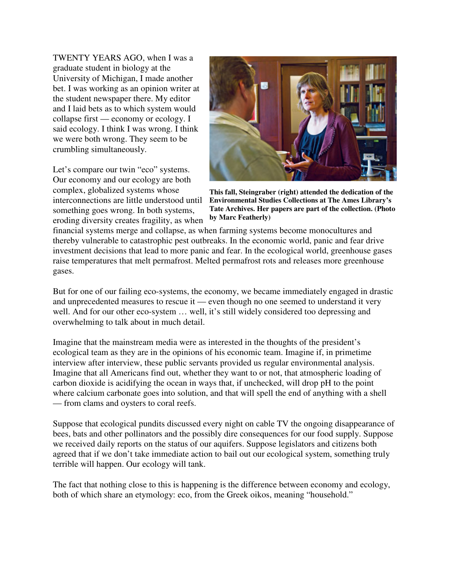TWENTY YEARS AGO, when I was a graduate student in biology at the University of Michigan, I made another bet. I was working as an opinion writer at the student newspaper there. My editor and I laid bets as to which system would collapse first — economy or ecology. I said ecology. I think I was wrong. I think we were both wrong. They seem to be crumbling simultaneously.

Let's compare our twin "eco" systems. Our economy and our ecology are both complex, globalized systems whose interconnections are little understood until something goes wrong. In both systems, eroding diversity creates fragility, as when



**This fall, Steingraber (right) attended the dedication of the Environmental Studies Collections at The Ames Library's Tate Archives. Her papers are part of the collection. (Photo by Marc Featherly)**

financial systems merge and collapse, as when farming systems become monocultures and thereby vulnerable to catastrophic pest outbreaks. In the economic world, panic and fear drive investment decisions that lead to more panic and fear. In the ecological world, greenhouse gases raise temperatures that melt permafrost. Melted permafrost rots and releases more greenhouse gases.

But for one of our failing eco-systems, the economy, we became immediately engaged in drastic and unprecedented measures to rescue it — even though no one seemed to understand it very well. And for our other eco-system … well, it's still widely considered too depressing and overwhelming to talk about in much detail.

Imagine that the mainstream media were as interested in the thoughts of the president's ecological team as they are in the opinions of his economic team. Imagine if, in primetime interview after interview, these public servants provided us regular environmental analysis. Imagine that all Americans find out, whether they want to or not, that atmospheric loading of carbon dioxide is acidifying the ocean in ways that, if unchecked, will drop pH to the point where calcium carbonate goes into solution, and that will spell the end of anything with a shell — from clams and oysters to coral reefs.

Suppose that ecological pundits discussed every night on cable TV the ongoing disappearance of bees, bats and other pollinators and the possibly dire consequences for our food supply. Suppose we received daily reports on the status of our aquifers. Suppose legislators and citizens both agreed that if we don't take immediate action to bail out our ecological system, something truly terrible will happen. Our ecology will tank.

The fact that nothing close to this is happening is the difference between economy and ecology, both of which share an etymology: eco, from the Greek oikos, meaning "household."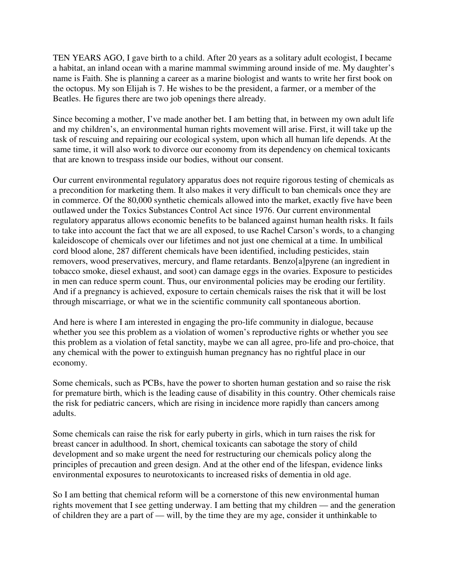TEN YEARS AGO, I gave birth to a child. After 20 years as a solitary adult ecologist, I became a habitat, an inland ocean with a marine mammal swimming around inside of me. My daughter's name is Faith. She is planning a career as a marine biologist and wants to write her first book on the octopus. My son Elijah is 7. He wishes to be the president, a farmer, or a member of the Beatles. He figures there are two job openings there already.

Since becoming a mother, I've made another bet. I am betting that, in between my own adult life and my children's, an environmental human rights movement will arise. First, it will take up the task of rescuing and repairing our ecological system, upon which all human life depends. At the same time, it will also work to divorce our economy from its dependency on chemical toxicants that are known to trespass inside our bodies, without our consent.

Our current environmental regulatory apparatus does not require rigorous testing of chemicals as a precondition for marketing them. It also makes it very difficult to ban chemicals once they are in commerce. Of the 80,000 synthetic chemicals allowed into the market, exactly five have been outlawed under the Toxics Substances Control Act since 1976. Our current environmental regulatory apparatus allows economic benefits to be balanced against human health risks. It fails to take into account the fact that we are all exposed, to use Rachel Carson's words, to a changing kaleidoscope of chemicals over our lifetimes and not just one chemical at a time. In umbilical cord blood alone, 287 different chemicals have been identified, including pesticides, stain removers, wood preservatives, mercury, and flame retardants. Benzo[a]pyrene (an ingredient in tobacco smoke, diesel exhaust, and soot) can damage eggs in the ovaries. Exposure to pesticides in men can reduce sperm count. Thus, our environmental policies may be eroding our fertility. And if a pregnancy is achieved, exposure to certain chemicals raises the risk that it will be lost through miscarriage, or what we in the scientific community call spontaneous abortion.

And here is where I am interested in engaging the pro-life community in dialogue, because whether you see this problem as a violation of women's reproductive rights or whether you see this problem as a violation of fetal sanctity, maybe we can all agree, pro-life and pro-choice, that any chemical with the power to extinguish human pregnancy has no rightful place in our economy.

Some chemicals, such as PCBs, have the power to shorten human gestation and so raise the risk for premature birth, which is the leading cause of disability in this country. Other chemicals raise the risk for pediatric cancers, which are rising in incidence more rapidly than cancers among adults.

Some chemicals can raise the risk for early puberty in girls, which in turn raises the risk for breast cancer in adulthood. In short, chemical toxicants can sabotage the story of child development and so make urgent the need for restructuring our chemicals policy along the principles of precaution and green design. And at the other end of the lifespan, evidence links environmental exposures to neurotoxicants to increased risks of dementia in old age.

So I am betting that chemical reform will be a cornerstone of this new environmental human rights movement that I see getting underway. I am betting that my children — and the generation of children they are a part of — will, by the time they are my age, consider it unthinkable to